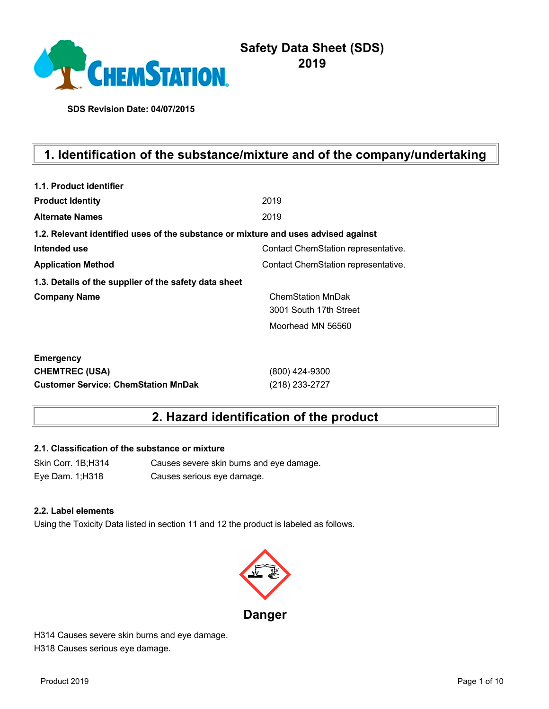

# **Safety Data Sheet (SDS) 2019**

**SDS Revision Date: 04/07/2015**

# **1. Identification of the substance/mixture and of the company/undertaking**

| 1.1. Product identifier                                                            |                                     |
|------------------------------------------------------------------------------------|-------------------------------------|
| <b>Product Identity</b>                                                            | 2019                                |
| <b>Alternate Names</b>                                                             | 2019                                |
| 1.2. Relevant identified uses of the substance or mixture and uses advised against |                                     |
| Intended use                                                                       | Contact ChemStation representative. |
| <b>Application Method</b>                                                          | Contact ChemStation representative. |
| 1.3. Details of the supplier of the safety data sheet                              |                                     |
| <b>Company Name</b>                                                                | <b>ChemStation MnDak</b>            |
|                                                                                    | 3001 South 17th Street              |
|                                                                                    | Moorhead MN 56560                   |
| <b>Emergency</b>                                                                   |                                     |
| <b>CHEMTREC (USA)</b>                                                              | (800) 424-9300                      |
| <b>Customer Service: ChemStation MnDak</b>                                         | (218) 233-2727                      |

# **2. Hazard identification of the product**

### **2.1. Classification of the substance or mixture**

Skin Corr. 1B;H314 Causes severe skin burns and eye damage. Eye Dam. 1;H318 Causes serious eye damage.

### **2.2. Label elements**

Using the Toxicity Data listed in section 11 and 12 the product is labeled as follows.



H314 Causes severe skin burns and eye damage. H318 Causes serious eye damage.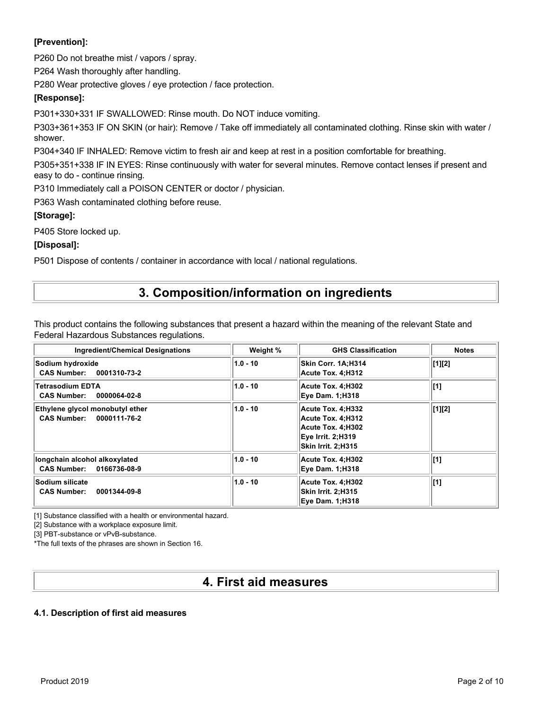### **[Prevention]:**

P260 Do not breathe mist / vapors / spray.

P264 Wash thoroughly after handling.

P280 Wear protective gloves / eye protection / face protection.

### **[Response]:**

P301+330+331 IF SWALLOWED: Rinse mouth. Do NOT induce vomiting.

P303+361+353 IF ON SKIN (or hair): Remove / Take off immediately all contaminated clothing. Rinse skin with water / shower.

P304+340 IF INHALED: Remove victim to fresh air and keep at rest in a position comfortable for breathing.

P305+351+338 IF IN EYES: Rinse continuously with water for several minutes. Remove contact lenses if present and easy to do - continue rinsing.

P310 Immediately call a POISON CENTER or doctor / physician.

P363 Wash contaminated clothing before reuse.

### **[Storage]:**

P405 Store locked up.

### **[Disposal]:**

P501 Dispose of contents / container in accordance with local / national regulations.

## **3. Composition/information on ingredients**

This product contains the following substances that present a hazard within the meaning of the relevant State and Federal Hazardous Substances regulations.

| <b>Ingredient/Chemical Designations</b>                               | Weight %   | <b>GHS Classification</b>                                                                              | <b>Notes</b>   |
|-----------------------------------------------------------------------|------------|--------------------------------------------------------------------------------------------------------|----------------|
| Sodium hydroxide<br><b>CAS Number:</b><br>0001310-73-2                | $1.0 - 10$ | Skin Corr. 1A:H314<br>Acute Tox. 4:H312                                                                | $\vert [1][2]$ |
| <b>Tetrasodium EDTA</b><br>0000064-02-8<br><b>CAS Number:</b>         | $1.0 - 10$ | Acute Tox. 4;H302<br><b>Eye Dam. 1;H318</b>                                                            | $[1]$          |
| Ethylene glycol monobutyl ether<br><b>CAS Number:</b><br>0000111-76-2 | $1.0 - 10$ | Acute Tox. 4:H332<br>Acute Tox. 4:H312<br>Acute Tox. 4:H302<br>Eye Irrit. 2:H319<br>Skin Irrit. 2:H315 | [1][2]         |
| longchain alcohol alkoxylated<br><b>CAS Number:</b><br>0166736-08-9   | $1.0 - 10$ | Acute Tox. 4:H302<br><b>Eye Dam. 1:H318</b>                                                            | [1]            |
| Sodium silicate<br>0001344-09-8<br><b>CAS Number:</b>                 | $1.0 - 10$ | Acute Tox. 4:H302<br>Skin Irrit. 2:H315<br><b>Eye Dam. 1:H318</b>                                      | [1]            |

[1] Substance classified with a health or environmental hazard.

[2] Substance with a workplace exposure limit.

[3] PBT-substance or vPvB-substance.

\*The full texts of the phrases are shown in Section 16.

## **4. First aid measures**

### **4.1. Description of first aid measures**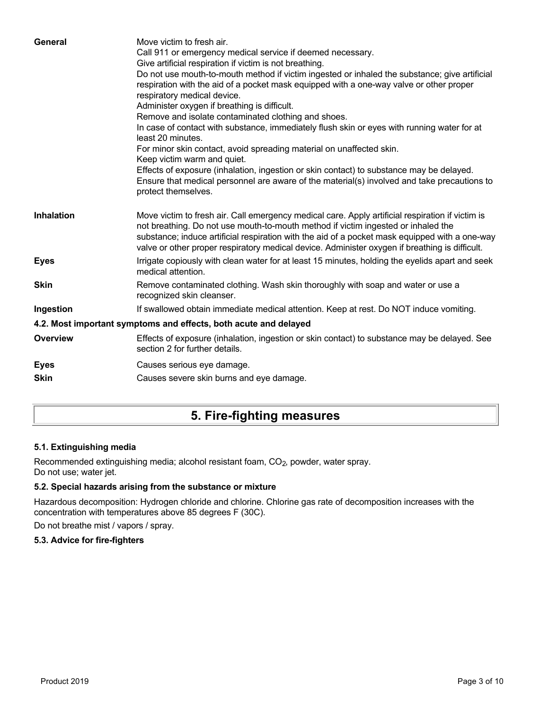| General           | Move victim to fresh air.<br>Call 911 or emergency medical service if deemed necessary.<br>Give artificial respiration if victim is not breathing.<br>Do not use mouth-to-mouth method if victim ingested or inhaled the substance; give artificial<br>respiration with the aid of a pocket mask equipped with a one-way valve or other proper<br>respiratory medical device.<br>Administer oxygen if breathing is difficult.<br>Remove and isolate contaminated clothing and shoes.<br>In case of contact with substance, immediately flush skin or eyes with running water for at<br>least 20 minutes.<br>For minor skin contact, avoid spreading material on unaffected skin.<br>Keep victim warm and quiet.<br>Effects of exposure (inhalation, ingestion or skin contact) to substance may be delayed.<br>Ensure that medical personnel are aware of the material(s) involved and take precautions to<br>protect themselves. |
|-------------------|-----------------------------------------------------------------------------------------------------------------------------------------------------------------------------------------------------------------------------------------------------------------------------------------------------------------------------------------------------------------------------------------------------------------------------------------------------------------------------------------------------------------------------------------------------------------------------------------------------------------------------------------------------------------------------------------------------------------------------------------------------------------------------------------------------------------------------------------------------------------------------------------------------------------------------------|
| <b>Inhalation</b> | Move victim to fresh air. Call emergency medical care. Apply artificial respiration if victim is<br>not breathing. Do not use mouth-to-mouth method if victim ingested or inhaled the<br>substance; induce artificial respiration with the aid of a pocket mask equipped with a one-way<br>valve or other proper respiratory medical device. Administer oxygen if breathing is difficult.                                                                                                                                                                                                                                                                                                                                                                                                                                                                                                                                         |
| <b>Eyes</b>       | Irrigate copiously with clean water for at least 15 minutes, holding the eyelids apart and seek<br>medical attention.                                                                                                                                                                                                                                                                                                                                                                                                                                                                                                                                                                                                                                                                                                                                                                                                             |
| <b>Skin</b>       | Remove contaminated clothing. Wash skin thoroughly with soap and water or use a<br>recognized skin cleanser.                                                                                                                                                                                                                                                                                                                                                                                                                                                                                                                                                                                                                                                                                                                                                                                                                      |
| Ingestion         | If swallowed obtain immediate medical attention. Keep at rest. Do NOT induce vomiting.                                                                                                                                                                                                                                                                                                                                                                                                                                                                                                                                                                                                                                                                                                                                                                                                                                            |
|                   | 4.2. Most important symptoms and effects, both acute and delayed                                                                                                                                                                                                                                                                                                                                                                                                                                                                                                                                                                                                                                                                                                                                                                                                                                                                  |
| <b>Overview</b>   | Effects of exposure (inhalation, ingestion or skin contact) to substance may be delayed. See<br>section 2 for further details.                                                                                                                                                                                                                                                                                                                                                                                                                                                                                                                                                                                                                                                                                                                                                                                                    |
| <b>Eyes</b>       | Causes serious eye damage.                                                                                                                                                                                                                                                                                                                                                                                                                                                                                                                                                                                                                                                                                                                                                                                                                                                                                                        |
| <b>Skin</b>       | Causes severe skin burns and eye damage.                                                                                                                                                                                                                                                                                                                                                                                                                                                                                                                                                                                                                                                                                                                                                                                                                                                                                          |
|                   |                                                                                                                                                                                                                                                                                                                                                                                                                                                                                                                                                                                                                                                                                                                                                                                                                                                                                                                                   |

# **5. Fire-fighting measures**

## **5.1. Extinguishing media**

Recommended extinguishing media; alcohol resistant foam, CO<sub>2</sub>, powder, water spray. Do not use; water jet.

## **5.2. Special hazards arising from the substance or mixture**

Hazardous decomposition: Hydrogen chloride and chlorine. Chlorine gas rate of decomposition increases with the concentration with temperatures above 85 degrees F (30C).

Do not breathe mist / vapors / spray.

## **5.3. Advice for fire-fighters**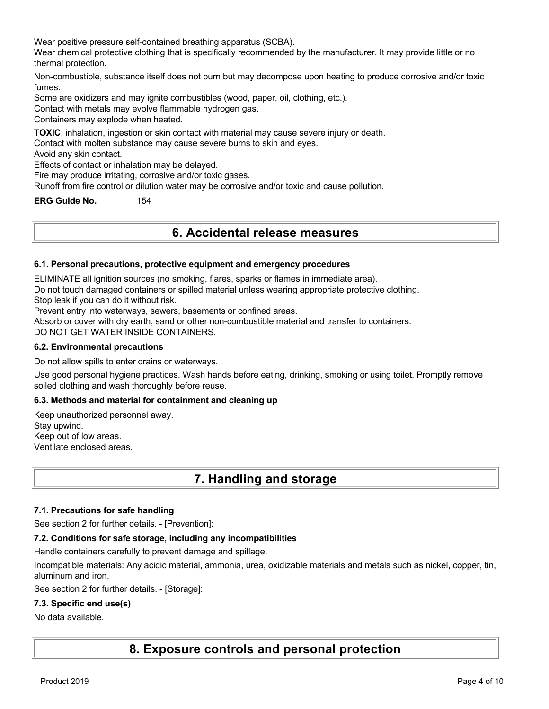Wear positive pressure self-contained breathing apparatus (SCBA).

Wear chemical protective clothing that is specifically recommended by the manufacturer. It may provide little or no thermal protection.

Non-combustible, substance itself does not burn but may decompose upon heating to produce corrosive and/or toxic fumes.

Some are oxidizers and may ignite combustibles (wood, paper, oil, clothing, etc.).

Contact with metals may evolve flammable hydrogen gas.

Containers may explode when heated.

**TOXIC**; inhalation, ingestion or skin contact with material may cause severe injury or death.

Contact with molten substance may cause severe burns to skin and eyes.

Avoid any skin contact.

Effects of contact or inhalation may be delayed.

Fire may produce irritating, corrosive and/or toxic gases.

Runoff from fire control or dilution water may be corrosive and/or toxic and cause pollution.

**ERG Guide No.** 154

## **6. Accidental release measures**

### **6.1. Personal precautions, protective equipment and emergency procedures**

ELIMINATE all ignition sources (no smoking, flares, sparks or flames in immediate area).

Do not touch damaged containers or spilled material unless wearing appropriate protective clothing.

Stop leak if you can do it without risk.

Prevent entry into waterways, sewers, basements or confined areas.

Absorb or cover with dry earth, sand or other non-combustible material and transfer to containers.

DO NOT GET WATER INSIDE CONTAINERS.

#### **6.2. Environmental precautions**

Do not allow spills to enter drains or waterways.

Use good personal hygiene practices. Wash hands before eating, drinking, smoking or using toilet. Promptly remove soiled clothing and wash thoroughly before reuse.

### **6.3. Methods and material for containment and cleaning up**

Keep unauthorized personnel away. Stay upwind. Keep out of low areas. Ventilate enclosed areas.

## **7. Handling and storage**

### **7.1. Precautions for safe handling**

See section 2 for further details. - [Prevention]:

### **7.2. Conditions for safe storage, including any incompatibilities**

Handle containers carefully to prevent damage and spillage.

Incompatible materials: Any acidic material, ammonia, urea, oxidizable materials and metals such as nickel, copper, tin, aluminum and iron.

See section 2 for further details. - [Storage]:

### **7.3. Specific end use(s)**

### No data available.

**8. Exposure controls and personal protection**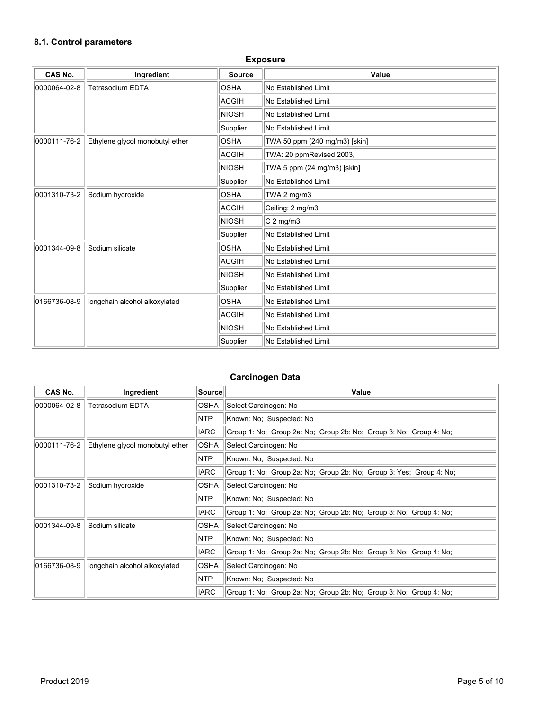## **8.1. Control parameters**

| CAS No.      | Ingredient                      | <b>Source</b> | Value                         |
|--------------|---------------------------------|---------------|-------------------------------|
| 0000064-02-8 | <b>Tetrasodium EDTA</b>         | <b>OSHA</b>   | No Established Limit          |
|              |                                 | ACGIH         | No Established Limit          |
|              |                                 | NIOSH         | No Established Limit          |
|              |                                 | Supplier      | No Established Limit          |
| 0000111-76-2 | Ethylene glycol monobutyl ether | <b>OSHA</b>   | TWA 50 ppm (240 mg/m3) [skin] |
|              |                                 | <b>ACGIH</b>  | TWA: 20 ppmRevised 2003,      |
|              |                                 | NIOSH         | TWA 5 ppm (24 mg/m3) [skin]   |
|              |                                 | Supplier      | No Established Limit          |
| 0001310-73-2 | Sodium hydroxide                | <b>OSHA</b>   | TWA 2 $mg/m3$                 |
|              |                                 | ACGIH         | Ceiling: 2 mg/m3              |
|              |                                 | NIOSH         | $C2$ mg/m3                    |
|              |                                 | Supplier      | No Established Limit          |
| 0001344-09-8 | Sodium silicate                 | <b>OSHA</b>   | No Established Limit          |
|              |                                 | ACGIH         | No Established Limit          |
|              |                                 | <b>NIOSH</b>  | No Established Limit          |
|              |                                 | Supplier      | No Established Limit          |
| 0166736-08-9 | longchain alcohol alkoxylated   | <b>OSHA</b>   | No Established Limit          |
|              |                                 | <b>ACGIH</b>  | No Established Limit          |
|              |                                 | NIOSH         | No Established Limit          |
|              |                                 | Supplier      | No Established Limit          |

### **Exposure**

## **Carcinogen Data**

| CAS No.      | Ingredient                      | <b>Source</b> | Value                                                               |
|--------------|---------------------------------|---------------|---------------------------------------------------------------------|
| 0000064-02-8 | <b>Tetrasodium EDTA</b>         | <b>OSHA</b>   | Select Carcinogen: No                                               |
|              |                                 | <b>NTP</b>    | Known: No; Suspected: No                                            |
|              |                                 | <b>IARC</b>   | Group 1: No; Group 2a: No; Group 2b: No; Group 3: No; Group 4: No;  |
| 0000111-76-2 | Ethylene glycol monobutyl ether | <b>OSHA</b>   | Select Carcinogen: No                                               |
|              |                                 | <b>NTP</b>    | Known: No; Suspected: No                                            |
|              |                                 | <b>IARC</b>   | Group 1: No; Group 2a: No; Group 2b: No; Group 3: Yes; Group 4: No; |
| 0001310-73-2 | Sodium hydroxide                | <b>OSHA</b>   | Select Carcinogen: No                                               |
|              |                                 | <b>NTP</b>    | Known: No; Suspected: No                                            |
|              |                                 | <b>IARC</b>   | Group 1: No; Group 2a: No; Group 2b: No; Group 3: No; Group 4: No;  |
| 0001344-09-8 | Sodium silicate                 | <b>OSHA</b>   | Select Carcinogen: No                                               |
|              |                                 | <b>NTP</b>    | Known: No; Suspected: No                                            |
|              |                                 | <b>IARC</b>   | Group 1: No; Group 2a: No; Group 2b: No; Group 3: No; Group 4: No;  |
| 0166736-08-9 | longchain alcohol alkoxylated   | <b>OSHA</b>   | Select Carcinogen: No                                               |
|              |                                 | <b>NTP</b>    | Known: No; Suspected: No                                            |
|              |                                 | <b>IARC</b>   | Group 1: No; Group 2a: No; Group 2b: No; Group 3: No; Group 4: No;  |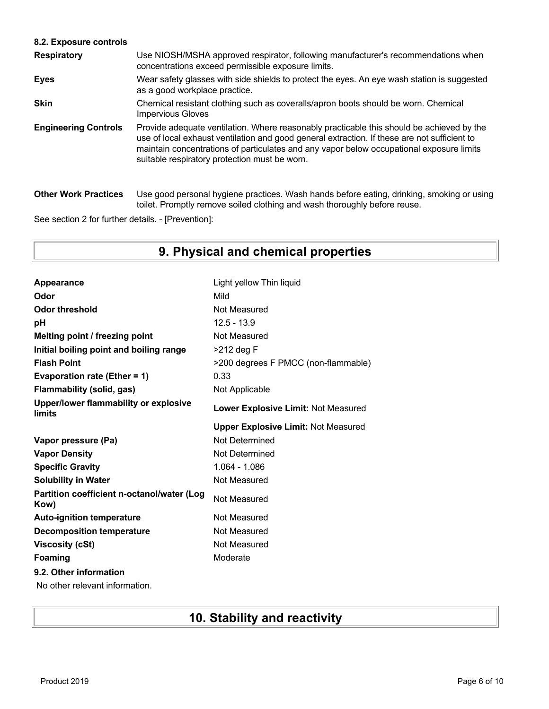### **8.2. Exposure controls**

| <b>Respiratory</b>          | Use NIOSH/MSHA approved respirator, following manufacturer's recommendations when<br>concentrations exceed permissible exposure limits.                                                                                                                                                                                                |
|-----------------------------|----------------------------------------------------------------------------------------------------------------------------------------------------------------------------------------------------------------------------------------------------------------------------------------------------------------------------------------|
| <b>Eyes</b>                 | Wear safety glasses with side shields to protect the eyes. An eye wash station is suggested<br>as a good workplace practice.                                                                                                                                                                                                           |
| <b>Skin</b>                 | Chemical resistant clothing such as coveralls/apron boots should be worn. Chemical<br><b>Impervious Gloves</b>                                                                                                                                                                                                                         |
| <b>Engineering Controls</b> | Provide adequate ventilation. Where reasonably practicable this should be achieved by the<br>use of local exhaust ventilation and good general extraction. If these are not sufficient to<br>maintain concentrations of particulates and any vapor below occupational exposure limits<br>suitable respiratory protection must be worn. |
| <b>Other Work Practices</b> | Use good personal hygiene practices. Wash hands before eating, drinking, smoking or using<br>toilet. Promptly remove soiled clothing and wash thoroughly before reuse.                                                                                                                                                                 |

See section 2 for further details. - [Prevention]:

# **9. Physical and chemical properties**

| Appearance                                         | Light yellow Thin liquid                   |
|----------------------------------------------------|--------------------------------------------|
| Odor                                               | Mild                                       |
| <b>Odor threshold</b>                              | Not Measured                               |
| рH                                                 | $12.5 - 13.9$                              |
| Melting point / freezing point                     | Not Measured                               |
| Initial boiling point and boiling range            | >212 deg F                                 |
| <b>Flash Point</b>                                 | >200 degrees F PMCC (non-flammable)        |
| Evaporation rate (Ether = 1)                       | 0.33                                       |
| <b>Flammability (solid, gas)</b>                   | Not Applicable                             |
| Upper/lower flammability or explosive<br>limits    | Lower Explosive Limit: Not Measured        |
|                                                    | <b>Upper Explosive Limit: Not Measured</b> |
|                                                    |                                            |
| Vapor pressure (Pa)                                | Not Determined                             |
| <b>Vapor Density</b>                               | Not Determined                             |
| <b>Specific Gravity</b>                            | 1.064 - 1.086                              |
| <b>Solubility in Water</b>                         | Not Measured                               |
| Partition coefficient n-octanol/water (Log<br>Kow) | Not Measured                               |
| <b>Auto-ignition temperature</b>                   | Not Measured                               |
| <b>Decomposition temperature</b>                   | Not Measured                               |
| <b>Viscosity (cSt)</b>                             | Not Measured                               |
| <b>Foaming</b>                                     | Moderate                                   |
| 9.2. Other information                             |                                            |

No other relevant information.

# **10. Stability and reactivity**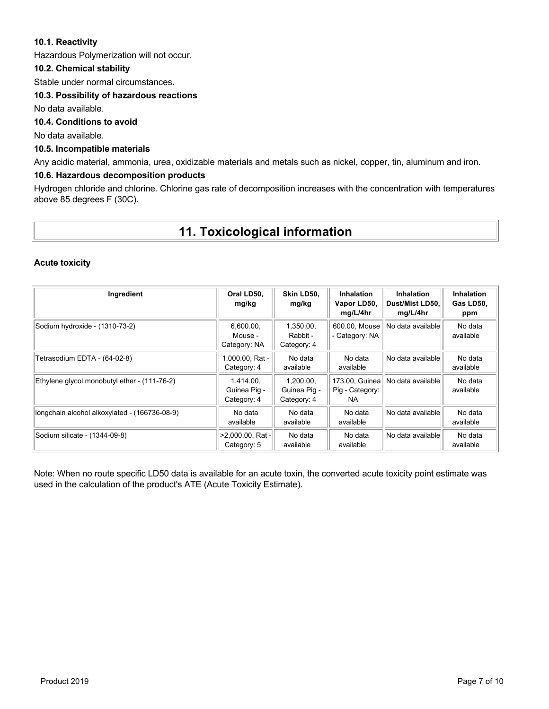### **10.1. Reactivity**

Hazardous Polymerization will not occur.

### **10.2. Chemical stability**

Stable under normal circumstances.

### **10.3. Possibility of hazardous reactions**

No data available.

### **10.4. Conditions to avoid**

No data available.

### **10.5. Incompatible materials**

Any acidic material, ammonia, urea, oxidizable materials and metals such as nickel, copper, tin, aluminum and iron.

### **10.6. Hazardous decomposition products**

Hydrogen chloride and chlorine. Chlorine gas rate of decomposition increases with the concentration with temperatures above 85 degrees F (30C).

## **11. Toxicological information**

### **Acute toxicity**

| Ingredient                                    | Oral LD50,<br>mg/kg                      | Skin LD50.<br>mg/kg                      | <b>Inhalation</b><br>Vapor LD50,<br>mg/L/4hr | <b>Inhalation</b><br>Dust/Mist LD50.<br>mq/L/4hr | <b>Inhalation</b><br>Gas LD50,<br>ppm |
|-----------------------------------------------|------------------------------------------|------------------------------------------|----------------------------------------------|--------------------------------------------------|---------------------------------------|
| Sodium hydroxide - (1310-73-2)                | 6,600.00,<br>Mouse -<br>Category: NA     | 1,350.00,<br>Rabbit -<br>Category: 4     | 600.00, Mouse<br>- Category: NA              | No data available                                | No data<br>available                  |
| Tetrasodium EDTA - (64-02-8)                  | 1,000.00, Rat -<br>Category: 4           | No data<br>available                     | No data<br>available                         | No data availablel                               | No data<br>available                  |
| Ethylene glycol monobutyl ether - (111-76-2)  | 1,414.00,<br>Guinea Pig -<br>Category: 4 | 1.200.00.<br>Guinea Pig -<br>Category: 4 | 173.00, Guinea<br>Pig - Category:<br>NA.     | No data availablel                               | No data<br>available                  |
| longchain alcohol alkoxylated - (166736-08-9) | No data<br>available                     | No data<br>available                     | No data<br>available                         | No data availablel                               | No data<br>available                  |
| Sodium silicate - (1344-09-8)                 | $>2,000.00$ , Rat -<br>Category: 5       | No data<br>available                     | No data<br>available                         | No data availablel                               | No data<br>available                  |

Note: When no route specific LD50 data is available for an acute toxin, the converted acute toxicity point estimate was used in the calculation of the product's ATE (Acute Toxicity Estimate).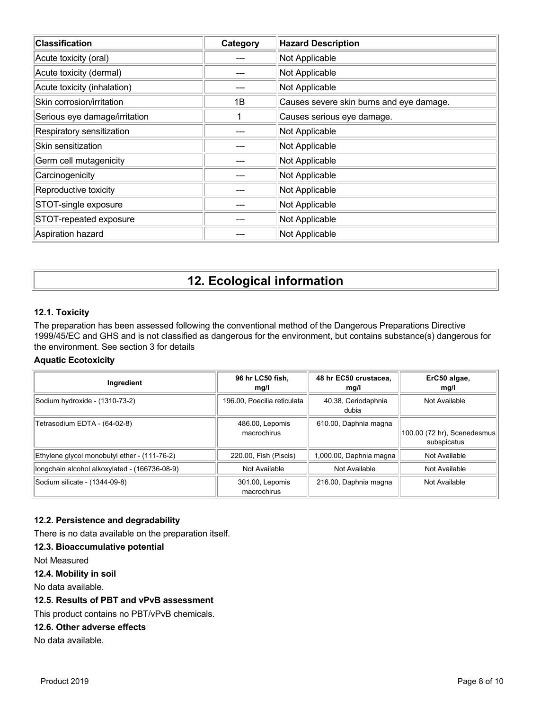| <b>Classification</b>         | Category | <b>Hazard Description</b>                |
|-------------------------------|----------|------------------------------------------|
| Acute toxicity (oral)         |          | Not Applicable                           |
| Acute toxicity (dermal)       |          | Not Applicable                           |
| Acute toxicity (inhalation)   |          | Not Applicable                           |
| Skin corrosion/irritation     | 1B       | Causes severe skin burns and eye damage. |
| Serious eye damage/irritation |          | Causes serious eye damage.               |
| Respiratory sensitization     |          | Not Applicable                           |
| Skin sensitization            |          | Not Applicable                           |
| Germ cell mutagenicity        |          | Not Applicable                           |
| Carcinogenicity               |          | Not Applicable                           |
| Reproductive toxicity         |          | Not Applicable                           |
| STOT-single exposure          |          | Not Applicable                           |
| STOT-repeated exposure        |          | Not Applicable                           |
| Aspiration hazard             |          | Not Applicable                           |

# **12. Ecological information**

### **12.1. Toxicity**

The preparation has been assessed following the conventional method of the Dangerous Preparations Directive 1999/45/EC and GHS and is not classified as dangerous for the environment, but contains substance(s) dangerous for the environment. See section 3 for details

### **Aquatic Ecotoxicity**

| Ingredient                                    | 96 hr LC50 fish.<br>mg/l       | 48 hr EC50 crustacea.<br>mg/l | ErC50 algae,<br>mg/l                       |
|-----------------------------------------------|--------------------------------|-------------------------------|--------------------------------------------|
| Sodium hydroxide - (1310-73-2)                | 196.00, Poecilia reticulata    | 40.38, Ceriodaphnia<br>dubia  | Not Available                              |
| Tetrasodium EDTA - (64-02-8)                  | 486.00, Lepomis<br>macrochirus | 610.00, Daphnia magna         | 100.00 (72 hr), Scenedesmus<br>subspicatus |
| Ethylene glycol monobutyl ether - (111-76-2)  | 220.00, Fish (Piscis)          | 1,000.00, Daphnia magna       | Not Available                              |
| longchain alcohol alkoxylated - (166736-08-9) | Not Available                  | Not Available                 | Not Available                              |
| Sodium silicate - (1344-09-8)                 | 301.00, Lepomis<br>macrochirus | 216.00, Daphnia magna         | Not Available                              |

### **12.2. Persistence and degradability**

There is no data available on the preparation itself.

### **12.3. Bioaccumulative potential**

Not Measured

### **12.4. Mobility in soil**

No data available.

### **12.5. Results of PBT and vPvB assessment**

This product contains no PBT/vPvB chemicals.

### **12.6. Other adverse effects**

No data available.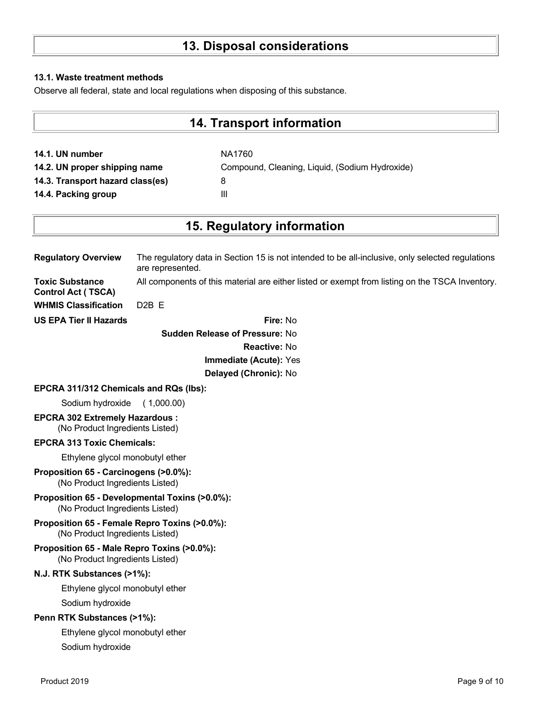# **13. Disposal considerations**

### **13.1. Waste treatment methods**

Observe all federal, state and local regulations when disposing of this substance.

## **14. Transport information**

**14.1. UN number** NA1760 **14.2. UN proper shipping name** Compound, Cleaning, Liquid, (Sodium Hydroxide) **14.3. Transport hazard class(es)** 8 **14.4. Packing group III** 

## **15. Regulatory information**

| <b>Regulatory Overview</b>                          | The regulatory data in Section 15 is not intended to be all-inclusive, only selected regulations<br>are represented. |
|-----------------------------------------------------|----------------------------------------------------------------------------------------------------------------------|
| <b>Toxic Substance</b><br><b>Control Act (TSCA)</b> | All components of this material are either listed or exempt from listing on the TSCA Inventory.                      |
| <b>WHMIS Classification</b>                         | D <sub>2</sub> B F                                                                                                   |
| <b>US EPA Tier II Hazards</b>                       | Fire: No                                                                                                             |

**Sudden Release of Pressure:** No **Reactive:** No **Immediate (Acute):** Yes **Delayed (Chronic):** No

### **EPCRA 311/312 Chemicals and RQs (lbs):**

Sodium hydroxide ( 1,000.00)

**EPCRA 302 Extremely Hazardous :** (No Product Ingredients Listed)

### **EPCRA 313 Toxic Chemicals:**

Ethylene glycol monobutyl ether

- **Proposition 65 Carcinogens (>0.0%):** (No Product Ingredients Listed)
- **Proposition 65 Developmental Toxins (>0.0%):** (No Product Ingredients Listed)
- **Proposition 65 Female Repro Toxins (>0.0%):** (No Product Ingredients Listed)
- **Proposition 65 Male Repro Toxins (>0.0%):** (No Product Ingredients Listed)

### **N.J. RTK Substances (>1%):**

Ethylene glycol monobutyl ether

Sodium hydroxide

### **Penn RTK Substances (>1%):**

Ethylene glycol monobutyl ether Sodium hydroxide